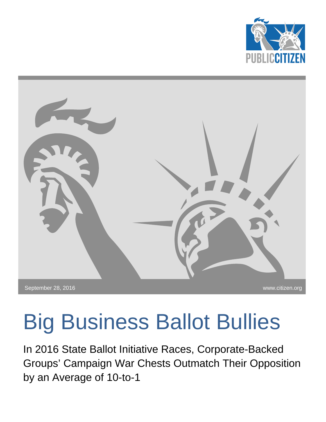



# <span id="page-0-0"></span>Big Business Ballot Bullies

In 2016 State Ballot Initiative Races, Corporate-Backed Groups' Campaign War Chests Outmatch Their Opposition by an Average of 10-to-1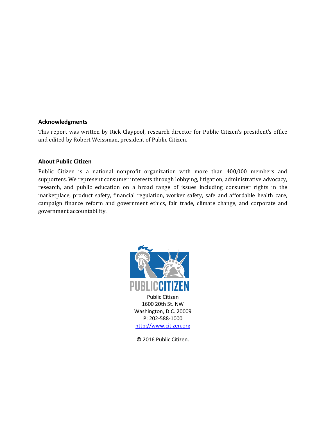#### **Acknowledgments**

This report was written by Rick Claypool, research director for Public Citizen's president's office and edited by Robert Weissman, president of Public Citizen.

#### **About Public Citizen**

Public Citizen is a national nonprofit organization with more than 400,000 members and supporters. We represent consumer interests through lobbying, litigation, administrative advocacy, research, and public education on a broad range of issues including consumer rights in the marketplace, product safety, financial regulation, worker safety, safe and affordable health care, campaign finance reform and government ethics, fair trade, climate change, and corporate and government accountability.



© 2016 Public Citizen.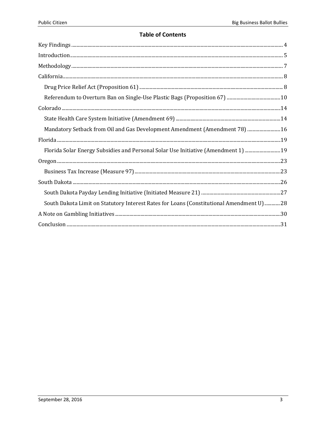#### **Table of Contents**

| Mandatory Setback from Oil and Gas Development Amendment (Amendment 78)  16             |
|-----------------------------------------------------------------------------------------|
|                                                                                         |
| Florida Solar Energy Subsidies and Personal Solar Use Initiative (Amendment 1) 19       |
|                                                                                         |
|                                                                                         |
|                                                                                         |
|                                                                                         |
| South Dakota Limit on Statutory Interest Rates for Loans (Constitutional Amendment U)28 |
|                                                                                         |
|                                                                                         |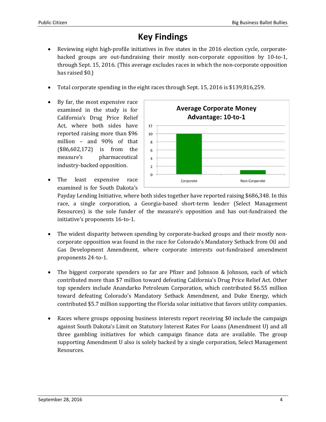## **Key Findings**

- Reviewing eight high-profile initiatives in five states in the 2016 election cycle, corporatebacked groups are out-fundraising their mostly non-corporate opposition by 10-to-1, through Sept. 15, 2016. (This average excludes races in which the non-corporate opposition has raised \$0.)
- Total corporate spending in the eight races through Sept. 15, 2016 is \$139,816,259.
- By far, the most expensive race examined in the study is for California's Drug Price Relief Act, where both sides have reported raising more than \$96 million – and 90% of that (\$86,602,172) is from the measure's pharmaceutical industry-backed opposition.
- The least expensive race examined is for South Dakota's



Payday Lending Initiative, where both sides together have reported raising \$686,348. In this race, a single corporation, a Georgia-based short-term lender (Select Management Resources) is the sole funder of the measure's opposition and has out-fundraised the initiative's proponents 16-to-1.

- The widest disparity between spending by corporate-backed groups and their mostly noncorporate opposition was found in the race for Colorado's Mandatory Setback from Oil and Gas Development Amendment, where corporate interests out-fundraised amendment proponents 24-to-1.
- The biggest corporate spenders so far are Pfizer and Johnson & Johnson, each of which contributed more than \$7 million toward defeating California's Drug Price Relief Act. Other top spenders include Anandarko Petroleum Corporation, which contributed \$6.55 million toward defeating Colorado's Mandatory Setback Amendment, and Duke Energy, which contributed \$5.7 million supporting the Florida solar initiative that favors utility companies.
- Races where groups opposing business interests report receiving \$0 include the campaign against South Dakota's Limit on Statutory Interest Rates For Loans (Amendment U) and all three gambling initiatives for which campaign finance data are available. The group supporting Amendment U also is solely backed by a single corporation, Select Management Resources.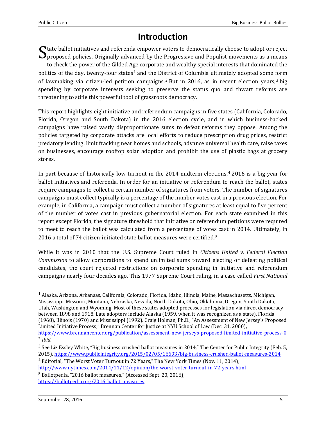## **Introduction**

tate ballot initiatives and referenda empower voters to democratically choose to adopt or reject proposed policies. Originally advanced by the Progressive and Populist movements as a means to check the power of the Gilded A[ge](#page-0-0) corporate and wealthy special interests that dominated the politics of the day, twenty-four [st](#page-4-0)ates<sup>1</sup> and the District of Columbia ultimately adopted some [fo](#page-4-1)rm of lawmaking via citizen-led petition campaigns.<sup>2</sup> But in 2016, as in recent election years,<sup>3</sup> big spending by corporate interests seeking to preserve the status quo and thwart reforms are threatening to stifle this powerful tool of grassroots democracy. S

This report highlights eight initiative and referendum campaigns in five states (California, Colorado, Florida, Oregon and South Dakota) in the 2016 election cycle, and in which business-backed campaigns have raised vastly disproportionate sums to defeat reforms they oppose. Among the policies targeted by corporate attacks are local efforts to reduce prescription drug prices, restrict predatory lending, limit fracking near homes and schools, advance universal health care, raise taxes on businesses, encourage rooftop solar adoption and prohibit the use of plastic bags at grocery stores.

In part because of historically low turnout in the  $2014$  midterm elections,<sup>4</sup> 2016 is a big year for ballot initiatives and referenda. In order for an initiative or referendum to [r](#page-4-2)each the ballot, states require campaigns to collect a certain number of signatures from voters. The number of signatures campaigns must collect typically is a percentage of the number votes cast in a previous election. For example, in California, a campaign must collect a number of signatures at least equal to five percent of the number of votes cast in previous gubernatorial election. For each state examined in this report except Florida, the signature threshold that initiative or referendum petitions were required to meet to reach the ballot was calculated from a percentage of vote[s](#page-4-3) cast in 2014. Ultimately, in 2016 a total of 74 citizen-initiated state ballot measures were certified.<sup>5</sup>

While it was in 2010 that the U.S. Supreme Court ruled in *Citizens United v. Federal Election Commission* to allow corporations to spend unlimited sums toward electing or defeating political candidates, the court rejected restrictions on corporate spending in initiative and referendum campaigns nearly four decades ago. This 1977 Supreme Court ruling, in a case called *First National* 

<span id="page-4-2"></span><sup>4</sup> Editorial, "The Worst Voter Turnout in 72 Years," The New York Times (Nov. 11, 2014), <http://www.nytimes.com/2014/11/12/opinion/the-worst-voter-turnout-in-72-years.html>

<span id="page-4-3"></span><sup>5</sup> Ballotpedia, "2016 ballot measures," (Accessed Sept. 20, 2016),

[https://ballotpedia.org/2016\\_ballot\\_measures](https://ballotpedia.org/2016_ballot_measures)

 <sup>1</sup> Alaska, Arizona, Arkansas, California, Colorado, Florida, Idaho, Illinois, Maine, Massachusetts, Michigan, Mississippi, Missouri, Montana, Nebraska, Nevada, North Dakota, Ohio, Oklahoma, Oregon, South Dakota, Utah, Washington and Wyoming. Most of these states adopted processes for legislation via direct democracy between 1898 and 1918. Late adopters include Alaska (1959, when it was recognized as a state), Florida (1968), Illinois (1970) and Mississippi (1992). Craig Holman, Ph.D., "An Assessment of New Jersey's Proposed Limited Initiative Process," Brennan Center for Justice at NYU School of Law (Dec. 31, 2000), <https://www.brennancenter.org/publication/assessment-new-jerseys-proposed-limited-initiative-process-0>

<span id="page-4-0"></span><sup>2</sup> *Ibid.*

<span id="page-4-1"></span><sup>3</sup> See Liz Essley White, "Big business crushed ballot measures in 2014," The Center for Public Integrity (Feb. 5, 2015),<https://www.publicintegrity.org/2015/02/05/16693/big-business-crushed-ballot-measures-2014>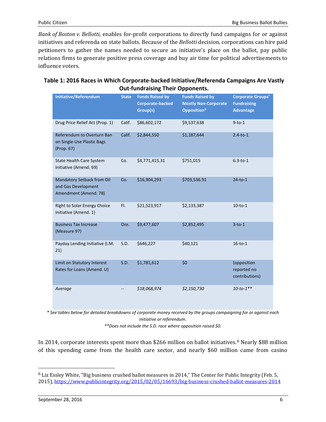*Bank of Boston v. Bellotti*, enables for-profit corporations to directly fund campaigns for or against initiatives and referenda on state ballots. Because of the *Bellotti* decision, corporations can hire paid petitioners to gather the names needed to secure an initiative's place on the ballot, pay public relations firms to generate positive press coverage and buy air time for political advertisements to influence voters.

|                                                                            |              | <b>Out-fundraising Their Opponents.</b>                       |                                                                      |                                                                    |
|----------------------------------------------------------------------------|--------------|---------------------------------------------------------------|----------------------------------------------------------------------|--------------------------------------------------------------------|
| <b>Initiative/Referendum</b>                                               | <b>State</b> | <b>Funds Raised by</b><br><b>Corporate-backed</b><br>Group(s) | <b>Funds Raised by</b><br><b>Mostly Non-Corporate</b><br>Opposition* | <b>Corporate Groups'</b><br><b>Fundraising</b><br><b>Advantage</b> |
| Drug Price Relief Act (Prop. 1)                                            | Calif.       | \$86,602,172                                                  | \$9,537,638                                                          | $9-to-1$                                                           |
| Referendum to Overturn Ban<br>on Single-Use Plastic Bags<br>(Prop. 67)     | Calif.       | \$2,844,550                                                   | \$1,187,644                                                          | $2.4-to-1$                                                         |
| State Health Care System<br>Initiative (Amend. 69)                         | Co.          | \$4,771,415.31                                                | \$751,015                                                            | $6.3-to-1$                                                         |
| Mandatory Setback from Oil<br>and Gas Development<br>Amendment (Amend. 78) | Co.          | \$16,904,293                                                  | \$703,536.91                                                         | $24-to-1$                                                          |
| <b>Right to Solar Energy Choice</b><br>Initiative (Amend. 1)               | FI.          | \$21,523,917                                                  | \$2,133,387                                                          | $10-to-1$                                                          |
| <b>Business Tax Increase</b><br>(Measure 97)                               | Ore.         | \$9,477,607                                                   | \$2,852,495                                                          | $3-to-1$                                                           |
| Payday Lending Initiative (I.M.<br>21)                                     | S.D.         | \$646,227                                                     | \$40,121                                                             | $16-to-1$                                                          |
| Limit on Statutory Interest<br>Rates for Loans (Amend. U)                  | S.D.         | \$1,781,612                                                   | \$0                                                                  | (opposition<br>reported no<br>contributions)                       |
| Average                                                                    |              | \$18,068,974                                                  | \$2,150,730                                                          | $10-to-1**$                                                        |

#### **Table 1: 2016 Races in Which Corporate-backed Initiative/Referenda Campaigns Are Vastly Out-fundraising Their Opponents.**

*\* See tables below for detailed breakdowns of corporate money received by the groups campaigning for or against each initiative or referendum.*

*\*\*Does not include the S.D. race where opposition raised \$0.*

<span id="page-5-0"></span>In 2014, corporate interests spent more than \$266 million on ballot initiatives.<sup>6</sup> Nearly \$88 million of this spending came from the health care sector, and nearly \$60 millio[n](#page-4-3) came from casino

 <sup>6</sup> Liz Essley White, "Big business crushed ballot measures in 2014," The Center for Public Integrity (Feb. 5, 2015),<https://www.publicintegrity.org/2015/02/05/16693/big-business-crushed-ballot-measures-2014>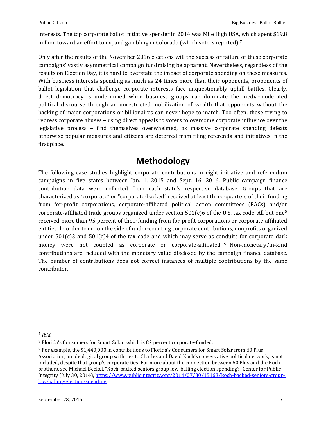interests. The top corporate ballot initiative spender in 2014 was Mile High USA[, w](#page-5-0)hich spent \$19.8 million toward an effort to expand gambling in Colorado (which voters rejected).<sup>7</sup>

Only after the results of the November 2016 elections will the success or failure of these corporate campaigns' vastly asymmetrical campaign fundraising be apparent. Nevertheless, regardless of the results on Election Day, it is hard to overstate the impact of corporate spending on these measures. With business interests spending as much as 24 times more than their opponents, proponents of ballot legislation that challenge corporate interests face unquestionably uphill battles. Clearly, direct democracy is undermined when business groups can dominate the media-moderated political discourse through an unrestricted mobilization of wealth that opponents without the backing of major corporations or billionaires can never hope to match. Too often, those trying to redress corporate abuses – using direct appeals to voters to overcome corporate influence over the legislative process – find themselves overwhelmed, as massive corporate spending defeats otherwise popular measures and citizens are deterred from filing referenda and initiatives in the first place.

## **Methodology**

The following case studies highlight corporate contributions in eight initiative and referendum campaigns in five states between Jan. 1, 2015 and Sept. 16, 2016. Public campaign finance contribution data were collected from each state's respective database. Groups that are characterized as "corporate" or "corporate-backed" received at least three-quarters of their funding from for-profit corporations, corporate-affiliated political action committees (PACs) and/o[r](#page-6-0) corporate-affiliated trade groups organized under section  $501(c)6$  of the U.S. tax code. All but one<sup>8</sup> received more than 95 percent of their funding from for-profit corporations or corporate-affiliated entities. In order to err on the side of under-counting corporate contributions, nonprofits organized u[nd](#page-6-1)er  $501(c)3$  and  $501(c)4$  of the tax code and which may serve as conduits for corporate dark money were not counted as corporate or corporate-affiliated. <sup>9</sup> Non-monetary/in-kind contributions are included with the monetary value disclosed by the campaign finance database. The number of contributions does not correct instances of multiple contributions by the same contributor.

<span id="page-6-2"></span> <sup>7</sup> *Ibid.*

<span id="page-6-0"></span><sup>8</sup> Florida's Consumers for Smart Solar, which is 82 percent corporate-funded.

<span id="page-6-1"></span><sup>9</sup> For example, the \$1,440,000 in contributions to Florida's Consumers for Smart Solar from 60 Plus Association, an ideological group with ties to Charles and David Koch's conservative political network, is not included, despite that group's corporate ties. For more about the connection between 60 Plus and the Koch brothers, see Michael Beckel, "Koch-backed seniors group low-balling election spending?" Center for Public Integrity (July 30, 2014)[, https://www.publicintegrity.org/2014/07/30/15163/koch-backed-seniors-group](https://www.publicintegrity.org/2014/07/30/15163/koch-backed-seniors-group-low-balling-election-spending)[low-balling-election-spending](https://www.publicintegrity.org/2014/07/30/15163/koch-backed-seniors-group-low-balling-election-spending)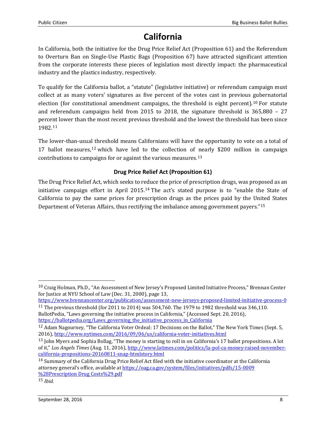# **California**

In California, both the initiative for the Drug Price Relief Act (Proposition 61) and the Referendum to Overturn Ban on Single-Use Plastic Bags (Proposition 67) have attracted significant attention from the corporate interests these pieces of legislation most directly impact: the pharmaceutical industry and the plastics industry, respectively.

To qualify for the California ballot, a "statute" (legislative initiative) or referendum campaign must collect at as many voters' signatures as five percent of the votes cast in previous [gu](#page-6-2)bernatorial election (for constitutional amendment campaigns, the threshold is eight percent).<sup>10</sup> For statute and referendum campaigns held from 2015 to 2018, the signature threshold is 365,880 – 27 perce[nt](#page-7-0) lower than the most recent previous threshold and the lowest the threshold has been since 1982.<sup>11</sup>

The lower-than-usua[l t](#page-7-1)hreshold means Californians will have the opportunity to vote on a total of 17 ballot measures,<sup>12</sup> which have led to the collection of [ne](#page-7-2)arly \$200 million in campaign contributions to campaigns for or against the various measures.<sup>13</sup>

#### **Drug Price Relief Act (Proposition 61)**

The Drug Price Relief Act, which seeks to r[edu](#page-7-3)ce the price of prescription drugs, was proposed as an initiative campaign effort in April 2015.<sup>14</sup> The act's stated purpose is to "enable the State of California to pay the same prices for prescription drugs as the prices paid by the Un[ite](#page-7-4)d States Department of Veteran Affairs, thus rectifying the imbalance among government payers."<sup>15</sup>

<span id="page-7-0"></span><https://www.brennancenter.org/publication/assessment-new-jerseys-proposed-limited-initiative-process-0> <sup>11</sup> The previous threshold (for 2011 to 2014) was 504,760. The 1979 to 1982 threshold was 346,110. BallotPedia, "Laws governing the initiative process in California," (Accessed Sept. 20, 2016),

[https://ballotpedia.org/Laws\\_governing\\_the\\_initiative\\_process\\_in\\_California](https://ballotpedia.org/Laws_governing_the_initiative_process_in_California)

<sup>&</sup>lt;sup>10</sup> Craig Holman, Ph.D., "An Assessment of New Jersey's Proposed Limited Initiative Process," Brennan Center for Justice at NYU School of Law (Dec. 31, 2000), page 13,

<span id="page-7-1"></span><sup>12</sup> Adam Nagourney, "The California Voter Ordeal: 17 Decisions on the Ballot," The New York Times (Sept. 5, 2016),<http://www.nytimes.com/2016/09/06/us/california-voter-initiatives.html>

<span id="page-7-5"></span><span id="page-7-2"></span><sup>&</sup>lt;sup>13</sup> John Myers and Sophia Bollag, "The money is starting to roll in on California's 17 ballot propositions. A lot of it," *Los Angels Times* (Aug. 11, 2016), [http://www.latimes.com/politics/la-pol-ca-money-raised-november](http://www.latimes.com/politics/la-pol-ca-money-raised-november-california-propositions-20160811-snap-htmlstory.html)[california-propositions-20160811-snap-htmlstory.html](http://www.latimes.com/politics/la-pol-ca-money-raised-november-california-propositions-20160811-snap-htmlstory.html)

<span id="page-7-3"></span><sup>14</sup> Summary of the California Drug Price Relief Act filed with the initiative coordinator at the California attorney general's office, available at [https://oag.ca.gov/system/files/initiatives/pdfs/15-0009](https://oag.ca.gov/system/files/initiatives/pdfs/15-0009%20%28Prescription%20Drug%20Costs%29.pdf)  [%28Prescription Drug Costs%29.pdf](https://oag.ca.gov/system/files/initiatives/pdfs/15-0009%20%28Prescription%20Drug%20Costs%29.pdf)

<span id="page-7-4"></span><sup>15</sup> *Ibid.*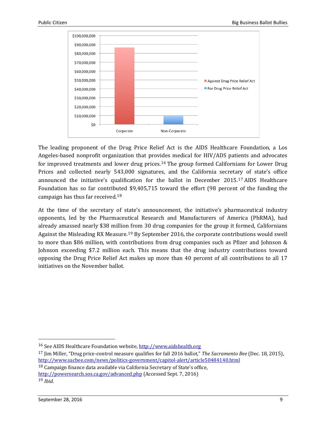

The leading proponent of the Drug Price Relief Act is the AIDS Healthcare Foundation, a Los Angeles-based nonprofit organization that prov[ide](#page-7-5)s medical for HIV/ADS patients and advocates for improved treatments and lower drug prices.<sup>16</sup> The group formed Californians for Lower Drug Prices and collected nearly 543,000 signatures, and the California secreta[ry](#page-8-0) of state's office announced the initiative's qualification for the ballot in December 2015.<sup>17</sup> AIDS Healthcare Foundation has so far contrib[ute](#page-8-1)d \$9,405,715 toward the effort (98 percent of the funding the campaign has thus far received.<sup>18</sup>

At the time of the secretary of state's announcement, the initiative's pharmaceutical industry opponents, led by the Pharmaceutical Research and Manufacturers of America (PhRMA), had already amassed nearly \$38 millio[n fr](#page-8-2)om 30 drug companies for the group it formed, Californians Against the Misleading RX Measure.<sup>19</sup> By September 2016, the corporate contributions would swell to more than \$86 million, with contributions from drug companies such as Pfizer and Johnson & Johnson exceeding \$7.2 million each. This means that the drug industry contributions toward opposing the Drug Price Relief Act makes up more than 40 percent of all contributions to all 17 initiatives on the November ballot.

<span id="page-8-1"></span><sup>18</sup> Campaign finance data available via California Secretary of State's office,

<http://powersearch.sos.ca.gov/advanced.php> (Accessed Sept. 7, 2016)

 <sup>16</sup> See AIDS Healthcare Foundation website, [http://www.aidshealth.org](http://www.aidshealth.org/)

<span id="page-8-0"></span><sup>17</sup> Jim Miller, "Drug price-control measure qualifies for fall 2016 ballot," *The Sacramento Bee* (Dec. 18, 2015), <http://www.sacbee.com/news/politics-government/capitol-alert/article50484140.html>

<span id="page-8-2"></span><sup>19</sup> *Ibid.*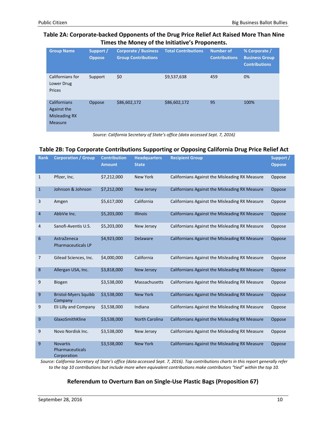#### **Table 2A: Corporate-backed Opponents of the Drug Price Relief Act Raised More Than Nine Times the Money of the Initiative's Proponents.**

| <b>Group Name</b>                                                            | Support /<br><b>Oppose</b> | <b>Corporate / Business</b><br><b>Group Contributions</b> | <b>Total Contributions</b> | <b>Number of</b><br><b>Contributions</b> | % Corporate /<br><b>Business Group</b><br><b>Contributions</b> |
|------------------------------------------------------------------------------|----------------------------|-----------------------------------------------------------|----------------------------|------------------------------------------|----------------------------------------------------------------|
| Californians for<br>Lower Drug<br>Prices                                     | Support                    | \$0                                                       | \$9,537,638                | 459                                      | 0%                                                             |
| <b>Californians</b><br>Against the<br><b>Misleading RX</b><br><b>Measure</b> | Oppose                     | \$86,602,172                                              | \$86,602,172               | 95                                       | 100%                                                           |

*Source: California Secretary of State's office (data accessed Sept. 7, 2016)*

#### **Table 2B: Top Corporate Contributions Supporting or Opposing California Drug Price Relief Act**

| <b>Rank</b>    | <b>Corporation / Group</b>                        | <b>Contribution</b><br><b>Amount</b> | <b>Headquarters</b><br><b>State</b> | <b>Recipient Group</b>                                | Support /<br><b>Oppose</b> |
|----------------|---------------------------------------------------|--------------------------------------|-------------------------------------|-------------------------------------------------------|----------------------------|
| 1              | Pfizer, Inc.                                      | \$7,212,000                          | <b>New York</b>                     | Californians Against the Misleading RX Measure        | Oppose                     |
| $\mathbf{1}$   | Johnson & Johnson                                 | \$7,212,000                          | <b>New Jersey</b>                   | Californians Against the Misleading RX Measure        | Oppose                     |
| 3              | Amgen                                             | \$5,617,000                          | California                          | Californians Against the Misleading RX Measure        | Oppose                     |
| $\overline{4}$ | AbbVie Inc.                                       | \$5,203,000                          | <b>Illinois</b>                     | <b>Californians Against the Misleading RX Measure</b> | Oppose                     |
| 4              | Sanofi-Aventis U.S.                               | \$5,203,000                          | New Jersey                          | Californians Against the Misleading RX Measure        | Oppose                     |
| 6              | AstraZeneca<br><b>Pharmaceuticals LP</b>          | \$4,923,000                          | <b>Delaware</b>                     | <b>Californians Against the Misleading RX Measure</b> | Oppose                     |
| 7              | Gilead Sciences, Inc.                             | \$4,000,000                          | California                          | Californians Against the Misleading RX Measure        | Oppose                     |
| 8              | Allergan USA, Inc.                                | \$3,818,000                          | <b>New Jersey</b>                   | <b>Californians Against the Misleading RX Measure</b> | Oppose                     |
| 9              | <b>Biogen</b>                                     | \$3,538,000                          | Massachusetts                       | Californians Against the Misleading RX Measure        | Oppose                     |
| 9              | <b>Bristol-Myers Squibb</b><br>Company            | \$3,538,000                          | <b>New York</b>                     | <b>Californians Against the Misleading RX Measure</b> | Oppose                     |
| 9              | Eli Lilly and Company                             | \$3,538,000                          | Indiana                             | Californians Against the Misleading RX Measure        | Oppose                     |
| 9              | GlaxoSmithKline                                   | \$3,538,000                          | <b>North Carolina</b>               | <b>Californians Against the Misleading RX Measure</b> | Oppose                     |
| 9              | Novo Nordisk Inc.                                 | \$3,538,000                          | New Jersey                          | Californians Against the Misleading RX Measure        | Oppose                     |
| 9              | <b>Novartis</b><br>Pharmaceuticals<br>Corporation | \$3,538,000                          | <b>New York</b>                     | Californians Against the Misleading RX Measure        | Oppose                     |

*Source: California Secretary of State's office (data accessed Sept. 7, 2016). Top contributions charts in this report generally refer to the top 10 contributions but include more when equivalent contributions make contributors "tied" within the top 10.*

#### **Referendum to Overturn Ban on Single-Use Plastic Bags (Proposition 67)**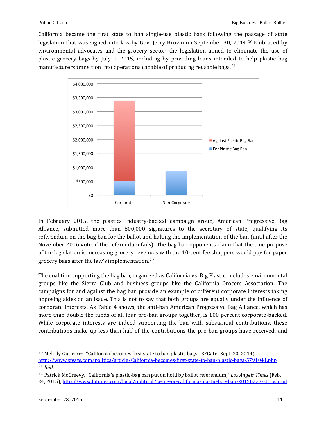California became the first state to ban single-use plastic bags following the [pas](#page-8-0)sage of state legislation that was signed into law by Gov. Jerry Brown on September 30, 2014.<sup>20</sup> Embraced by environmental advocates and the grocery sector, the legislation aimed to eliminate the use of plastic grocery bags by July 1, 2015, including by providing loans intended to help plastic bag manufacturers transition into operations capable of producing reusable bags.<sup>[21](#page-10-0)</sup>



In February 2015, the plastics industry-backed campaign group, American Progressive Bag Alliance, submitted more than 800,000 signatures to the secretary of state, qualifying its referendum on the bag ban for the ballot and halting the implementation of the ban (until after the November 2016 vote, if the referendum fails). The bag ban opponents claim that the true purpose of the legislation is increasing grocery reve[nue](#page-10-1)s with the 10-cent fee shoppers would pay for paper grocery bags after the law's implementation.<sup>22</sup>

<span id="page-10-2"></span>The coalition supporting the bag ban, organized as California vs. Big Plastic, includes environmental groups like the Sierra Club and business groups like the California Grocers Association. The campaigns for and against the bag ban provide an example of different corporate interests taking opposing sides on an issue. This is not to say that both groups are equally under the influence of corporate interests. As Table 4 shows, the anti-ban American Progressive Bag Alliance, which has more than double the funds of all four pro-ban groups together, is 100 percent corporate-backed. While corporate interests are indeed supporting the ban with substantial contributions, these contributions make up less than half of the contributions the pro-ban groups have received, and

 <sup>20</sup> Melody Gutierrez, "California becomes first state to ban plastic bags," SFGate (Sept. 30, 2014),

<span id="page-10-0"></span><http://www.sfgate.com/politics/article/California-becomes-first-state-to-ban-plastic-bags-5791041.php> 21 *Ibid.*

<span id="page-10-1"></span><sup>22</sup> Patrick McGreevy, "California's plastic-bag ban put on hold by ballot referendum," *Los Angels Times* (Feb. 24, 2015)[, http://www.latimes.com/local/political/la-me-pc-california-plastic-bag-ban-20150223-story.html](http://www.latimes.com/local/political/la-me-pc-california-plastic-bag-ban-20150223-story.html)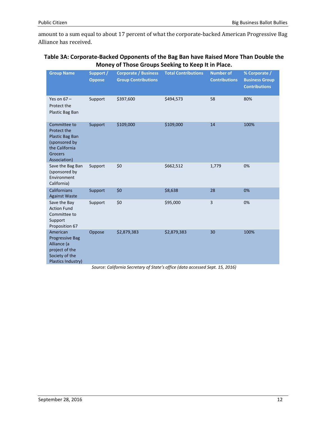amount to a sum equal to about 17 percent of what the corporate-backed American Progressive Bag Alliance has received.

#### **Table 3A: Corporate-Backed Opponents of the Bag Ban have Raised More Than Double the Money of Those Groups Seeking to Keep It in Place.**

| <b>Group Name</b>                                                                                                   | Support /<br><b>Oppose</b> | <b>Corporate / Business</b><br><b>Group Contributions</b> | <b>Total Contributions</b> | <b>Number of</b><br><b>Contributions</b> | % Corporate /<br><b>Business Group</b><br><b>Contributions</b> |
|---------------------------------------------------------------------------------------------------------------------|----------------------------|-----------------------------------------------------------|----------------------------|------------------------------------------|----------------------------------------------------------------|
| Yes on $67 -$<br>Protect the<br>Plastic Bag Ban                                                                     | Support                    | \$397,600                                                 | \$494,573                  | 58                                       | 80%                                                            |
| Committee to<br>Protect the<br>Plastic Bag Ban<br>(sponsored by<br>the California<br><b>Grocers</b><br>Association) | Support                    | \$109,000                                                 | \$109,000                  | 14                                       | 100%                                                           |
| Save the Bag Ban<br>(sponsored by<br>Environment<br>California)                                                     | Support                    | \$0                                                       | \$662,512                  | 1,779                                    | 0%                                                             |
| Californians<br><b>Against Waste</b>                                                                                | Support                    | \$0                                                       | \$8,638                    | 28                                       | 0%                                                             |
| Save the Bay<br><b>Action Fund</b><br>Committee to<br>Support<br>Proposition 67                                     | Support                    | \$0                                                       | \$95,000                   | 3                                        | 0%                                                             |
| American<br><b>Progressive Bag</b><br>Alliance (a<br>project of the<br>Society of the<br>Plastics Industry)         | Oppose                     | \$2,879,383                                               | \$2,879,383                | 30                                       | 100%                                                           |

*Source: California Secretary of State's office (data accessed Sept. 15, 2016)*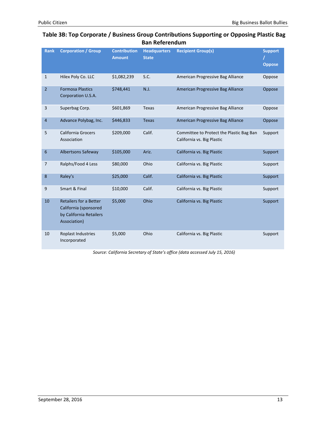#### **Table 3B: Top Corporate / Business Group Contributions Supporting or Opposing Plastic Bag Ban Referendum**

| <b>Rank</b>    | <b>Corporation / Group</b>                                                                        | <b>Contribution</b><br><b>Amount</b> | <b>Headquarters</b><br><b>State</b> | <b>Recipient Group(s)</b>                                              | <b>Support</b><br><b>Oppose</b> |
|----------------|---------------------------------------------------------------------------------------------------|--------------------------------------|-------------------------------------|------------------------------------------------------------------------|---------------------------------|
| $\mathbf{1}$   | Hilex Poly Co. LLC                                                                                | \$1,082,239                          | S.C.                                | American Progressive Bag Alliance                                      | Oppose                          |
| $\overline{2}$ | <b>Formosa Plastics</b><br>Corporation U.S.A.                                                     | \$748,441                            | N.J.                                | American Progressive Bag Alliance                                      | Oppose                          |
| 3              | Superbag Corp.                                                                                    | \$601,869                            | <b>Texas</b>                        | American Progressive Bag Alliance                                      | Oppose                          |
| 4              | Advance Polybag, Inc.                                                                             | \$446,833                            | <b>Texas</b>                        | American Progressive Bag Alliance                                      | Oppose                          |
| 5              | <b>California Grocers</b><br>Association                                                          | \$209,000                            | Calif.                              | Committee to Protect the Plastic Bag Ban<br>California vs. Big Plastic | Support                         |
| 6              | <b>Albertsons Safeway</b>                                                                         | \$105,000                            | Ariz.                               | California vs. Big Plastic                                             | Support                         |
| 7              | Ralphs/Food 4 Less                                                                                | \$80,000                             | Ohio                                | California vs. Big Plastic                                             | Support                         |
| 8              | Raley's                                                                                           | \$25,000                             | Calif.                              | California vs. Big Plastic                                             | Support                         |
| 9              | Smart & Final                                                                                     | \$10,000                             | Calif.                              | California vs. Big Plastic                                             | Support                         |
| 10             | <b>Retailers for a Better</b><br>California (sponsored<br>by California Retailers<br>Association) | \$5,000                              | Ohio                                | California vs. Big Plastic                                             | Support                         |
| 10             | Roplast Industries<br>Incorporated                                                                | \$5,000                              | Ohio                                | California vs. Big Plastic                                             | Support                         |

*Source: California Secretary of State's office (data accessed July 15, 2016)*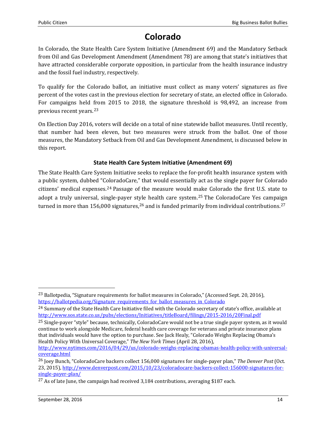## **Colorado**

In Colorado, the State Health Care System Initiative (Amendment 69) and the Mandatory Setback from Oil and Gas Development Amendment (Amendment 78) are among that state's initiatives that have attracted considerable corporate opposition, in particular from the health insurance industry and the fossil fuel industry, respectively.

To qualify for the Colorado ballot, an initiative must collect as many voters' signatures as five percent of the votes cast in the previous election for secretary of state, an elected office in Colorado. For campaigns held [fro](#page-10-2)m 2015 to 2018, the signature threshold is 98,492, an increase from previous recent years.<sup>23</sup>

On Election Day 2016, voters will decide on a total of nine statewide ballot measures. Until recently, that number had been eleven, but two measures were struck from the ballot. One of those measures, the Mandatory Setback from Oil and Gas Development Amendment, is discussed below in this report.

#### **State Health Care System Initiative (Amendment 69)**

The State Health Care System Initiative seeks to replace the for-profit health insurance system with a public system, dubbed "C[olo](#page-13-0)radoCare," that would essentially act as the single payer for Colorado citizens' medical expenses.<sup>24</sup> Passage of the measure would [mak](#page-13-1)e Colorado the first U.S. state to adopt a truly universal, single-payer st[yle](#page-13-2) health care system.<sup>25</sup> The ColoradoCare Yes campa[ign](#page-13-3) turned in more than 156,000 signatures,<sup>26</sup> and is funded primarily from individual contributions.<sup>27</sup>

<span id="page-13-1"></span><sup>25</sup> Single-payer "style" because, technically, ColoradoCare would not be a true single payer system, as it would continue to work alongside Medicare, federal health care coverage for veterans and private insurance plans that individuals would have the option to purchase. See Jack Healy, "Colorado Weighs Replacing Obama's Health Policy With Universal Coverage," *The New York Times* (April 28, 2016),

<span id="page-13-4"></span>[http://www.nytimes.com/2016/04/29/us/colorado-weighs-replacing-obamas-health-policy-with-universal](http://www.nytimes.com/2016/04/29/us/colorado-weighs-replacing-obamas-health-policy-with-universal-coverage.html)[coverage.html](http://www.nytimes.com/2016/04/29/us/colorado-weighs-replacing-obamas-health-policy-with-universal-coverage.html)

<sup>&</sup>lt;sup>23</sup> Ballotpedia, "Signature requirements for ballot measures in Colorado," (Accessed Sept. 20, 2016), [https://ballotpedia.org/Signature\\_requirements\\_for\\_ballot\\_measures\\_in\\_Colorado](https://ballotpedia.org/Signature_requirements_for_ballot_measures_in_Colorado)

<span id="page-13-0"></span><sup>&</sup>lt;sup>24</sup> Summary of the State Health Care Initiative filed with the Colorado secretary of state's office, available at <http://www.sos.state.co.us/pubs/elections/Initiatives/titleBoard/filings/2015-2016/20Final.pdf>

<span id="page-13-2"></span><sup>26</sup> Joey Bunch, "ColoradoCare backers collect 156,000 signatures for single-payer plan," *The Denver Post* (Oct. 23, 2015)[, http://www.denverpost.com/2015/10/23/coloradocare-backers-collect-156000-signatures-for](http://www.denverpost.com/2015/10/23/coloradocare-backers-collect-156000-signatures-for-single-payer-plan/)[single-payer-plan/](http://www.denverpost.com/2015/10/23/coloradocare-backers-collect-156000-signatures-for-single-payer-plan/)

<span id="page-13-3"></span><sup>&</sup>lt;sup>27</sup> As of late June, the campaign had received 3,184 contributions, averaging \$187 each.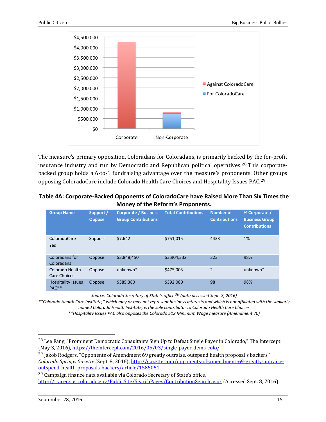

The measure's primary opposition, Coloradans for Coloradans, is primarily back[ed](#page-13-4) by the for-profit insurance industry and run by Democratic and Republican political operatives.<sup>28</sup> This corporatebacked group holds a 6-to-1 fundraising advantage over the measure's proponents. Ot[he](#page-14-0)r groups opposing ColoradoCare include Colorado Health Care Choices and Hospitality Issues PAC.<sup>29</sup>

| Table 4A: Corporate-Backed Opponents of ColoradoCare have Raised More Than Six Times the |
|------------------------------------------------------------------------------------------|
| Money of the Reform's Proponents.                                                        |

| <b>Group Name</b>                              | Support /<br><b>Oppose</b> | <b>Corporate / Business</b><br><b>Group Contributions</b> | <b>Total Contributions</b> | <b>Number of</b><br><b>Contributions</b> | % Corporate /<br><b>Business Group</b><br><b>Contributions</b> |
|------------------------------------------------|----------------------------|-----------------------------------------------------------|----------------------------|------------------------------------------|----------------------------------------------------------------|
| ColoradoCare<br>Yes                            | Support                    | \$7.642                                                   | \$751.015                  | 4433                                     | 1%                                                             |
| Coloradans for<br>Coloradans                   | Oppose                     | \$3,848,450                                               | \$3,904,332                | 323                                      | 98%                                                            |
| Colorado Health<br>Care Choices                | Oppose                     | $unknown*$                                                | \$475,003                  | $\overline{2}$                           | unknown*                                                       |
| <b>Hospitality Issues</b><br>PAC <sup>**</sup> | Oppose                     | \$385,380                                                 | \$392,080                  | 98                                       | 98%                                                            |

*Source: Colorado Secretary of State's office[30](#page-14-1) (data accessed Sept. 8, 2016)*

*\*"Colorado Health Care Institute," which may or may not represent business interests and which is not affiliated with the similarly named Colorado Health Institute, is the sole contributor to Colorado Health Care Choices*

*\*\*Hospitality Issues PAC also opposes the Colorado \$12 Minimum Wage measure (Amendment 70)*

<span id="page-14-0"></span><sup>29</sup> Jakob Rodgers, "Opponents of Amendment 69 greatly outraise, outspend health proposal's backers," *Colorado Springs Gazette* (Sept. 8, 2016), [http://gazette.com/opponents-of-amendment-69-greatly-outraise](http://gazette.com/opponents-of-amendment-69-greatly-outraise-outspend-health-proposals-backers/article/1585051)[outspend-health-proposals-backers/article/1585051](http://gazette.com/opponents-of-amendment-69-greatly-outraise-outspend-health-proposals-backers/article/1585051)

<sup>&</sup>lt;sup>28</sup> Lee Fang, "Prominent Democratic Consultants Sign Up to Defeat Single Payer in Colorado," The Intercept (May 3, 2016),<https://theintercept.com/2016/05/03/single-payer-dems-colo/>

<span id="page-14-1"></span><sup>30</sup> Campaign finance data available via Colorado Secretary of State's office, <http://tracer.sos.colorado.gov/PublicSite/SearchPages/ContributionSearch.aspx> (Accessed Sept. 8, 2016)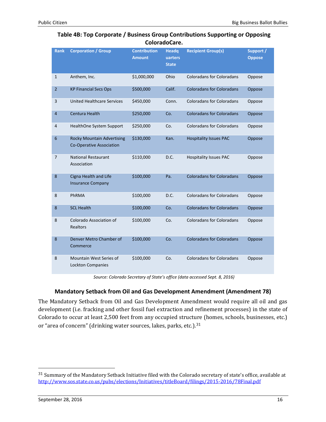#### **Table 4B: Top Corporate / Business Group Contributions Supporting or Opposing ColoradoCare.**

| <b>Rank</b>     | <b>Corporation / Group</b>                                           | <b>Contribution</b><br><b>Amount</b> | <b>Headg</b><br>uarters<br><b>State</b> | <b>Recipient Group(s)</b>        | Support /<br><b>Oppose</b> |
|-----------------|----------------------------------------------------------------------|--------------------------------------|-----------------------------------------|----------------------------------|----------------------------|
| $\mathbf{1}$    | Anthem, Inc.                                                         | \$1,000,000                          | Ohio                                    | <b>Coloradans for Coloradans</b> | Oppose                     |
| $\overline{2}$  | <b>KP Financial Svcs Ops</b>                                         | \$500,000                            | Calif.                                  | <b>Coloradans for Coloradans</b> | Oppose                     |
| 3               | <b>United Healthcare Services</b>                                    | \$450,000                            | Conn.                                   | <b>Coloradans for Coloradans</b> | Oppose                     |
| $\overline{4}$  | Centura Health                                                       | \$250,000                            | Co.                                     | <b>Coloradans for Coloradans</b> | Oppose                     |
| 4               | HealthOne System Support                                             | \$250,000                            | Co.                                     | <b>Coloradans for Coloradans</b> | Oppose                     |
| $6\phantom{1}6$ | <b>Rocky Mountain Advertising</b><br><b>Co-Operative Association</b> | \$130,000                            | Kan.                                    | <b>Hospitality Issues PAC</b>    | Oppose                     |
| 7               | <b>National Restaurant</b><br>Association                            | \$110,000                            | D.C.                                    | <b>Hospitality Issues PAC</b>    | Oppose                     |
| 8               | Cigna Health and Life<br><b>Insurance Company</b>                    | \$100,000                            | Pa.                                     | <b>Coloradans for Coloradans</b> | Oppose                     |
| 8               | PhRMA                                                                | \$100,000                            | D.C.                                    | <b>Coloradans for Coloradans</b> | Oppose                     |
| 8               | <b>SCL Health</b>                                                    | \$100,000                            | Co.                                     | <b>Coloradans for Coloradans</b> | Oppose                     |
| 8               | Colorado Association of<br><b>Realtors</b>                           | \$100,000                            | Co.                                     | <b>Coloradans for Coloradans</b> | Oppose                     |
| 8               | Denver Metro Chamber of<br>Commerce                                  | \$100,000                            | Co.                                     | <b>Coloradans for Coloradans</b> | Oppose                     |
| 8               | Mountain West Series of<br>Lockton Companies                         | \$100,000                            | Co.                                     | <b>Coloradans for Coloradans</b> | Oppose                     |

*Source: Colorado Secretary of State's office (data accessed Sept. 8, 2016)*

#### **Mandatory Setback from Oil and Gas Development Amendment (Amendment 78)**

<span id="page-15-0"></span>The Mandatory Setback from Oil and Gas Development Amendment would require all oil and gas development (i.e. fracking and other fossil fuel extraction and refinement processes) in the state of Colorado to occur at least 2,500 feet from any occupied struct[ure](#page-14-1) (homes, schools, businesses, etc.) or "area of concern" (drinking water sources, lakes, parks, etc.).<sup>31</sup>

<sup>&</sup>lt;sup>31</sup> Summary of the Mandatory Setback Initiative filed with the Colorado secretary of state's office, available at <http://www.sos.state.co.us/pubs/elections/Initiatives/titleBoard/filings/2015-2016/78Final.pdf>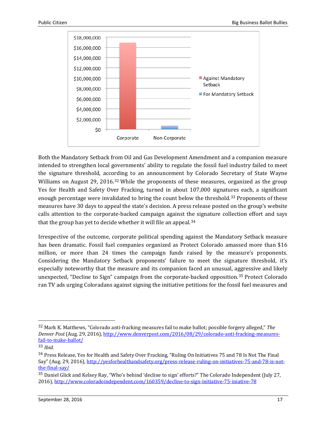

Both the Mandatory Setback from Oil and Gas Development Amendment and a companion measure intended to strengthen local governments' ability to regulate the fossil fuel industry failed to meet the signature threshold, acco[rd](#page-15-0)ing to an announcement by Colorado Secretary of State Wayne Williams on August 29, 2016.<sup>32</sup> While the proponents of these measures, organized as the group Yes for Health and Safety Over Fracking, turned in about 107,000 signat[ure](#page-16-0)s each, a significant enough percentage were invalidated to bring the count below the threshold.<sup>33</sup> Proponents of these measures have 30 days to appeal the state's decision. A press release posted on the group's website calls attention to the corporate-backed campaign against t[he](#page-16-1) signature collection effort and says that the group has yet to decide whether it will file an appeal.<sup>34</sup>

Irrespective of the outcome, corporate political spending against the Mandatory Setback measure has been dramatic. Fossil fuel companies organized as Protect Colorado amassed more than \$16 million, or more than 24 times the campaign funds raised by the measure's proponents. Considering the Mandatory Setback proponents' failure to meet the signature threshold, it's especially noteworthy that the measure and its companion faced an unusual, a[ggr](#page-16-2)essive and likely unexpected, "Decline to Sign" campaign from the corporate-backed opposition.<sup>35</sup> Protect Colorado ran TV ads urging Coloradans against signing the initiative petitions for the fossil fuel measures and

 <sup>32</sup> Mark K. Matthews, "Colorado anti-fracking measures fail to make ballot; possible forgery alleged," *The Denver Post* (Aug. 29, 2016), [http://www.denverpost.com/2016/08/29/colorado-anti-fracking-measures](http://www.denverpost.com/2016/08/29/colorado-anti-fracking-measures-fail-to-make-ballot/)[fail-to-make-ballot/](http://www.denverpost.com/2016/08/29/colorado-anti-fracking-measures-fail-to-make-ballot/)

<span id="page-16-0"></span><sup>33</sup> *Ibid.*

<span id="page-16-1"></span><sup>34</sup> Press Release, Yes for Health and Safety Over Fracking, "Ruling On Initiatives 75 and 78 Is Not The Final Say" (Aug. 29, 2016), [http://yesforhealthandsafety.org/press-release-ruling-on-initiatives-75-and-78-is-not](http://yesforhealthandsafety.org/press-release-ruling-on-initiatives-75-and-78-is-not-the-final-say/)[the-final-say/](http://yesforhealthandsafety.org/press-release-ruling-on-initiatives-75-and-78-is-not-the-final-say/)

<span id="page-16-2"></span><sup>35</sup> Daniel Glick and Kelsey Ray, "Who's behind 'decline to sign' efforts?" The Colorado Independent (July 27, 2016),<http://www.coloradoindependent.com/160359/decline-to-sign-initiative-75-iniative-78>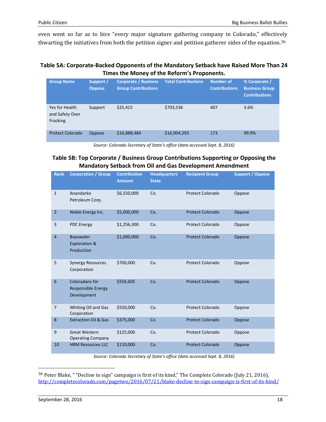even went so far as to hire "every major signature gathering company in Colorado," effectiv[ely](#page-16-2) thwarting the initiatives from both the petition signer and petition gatherer sides of the equation.<sup>36</sup>

#### **Table 5A: Corporate-Backed Opponents of the Mandatory Setback have Raised More Than 24 Times the Money of the Reform's Proponents.**

| <b>Group Name</b>                             | Support /<br><b>Oppose</b> | <b>Corporate / Business</b><br><b>Group Contributions</b> | <b>Total Contributions</b> | <b>Number of</b><br><b>Contributions</b> | % Corporate /<br><b>Business Group</b><br><b>Contributions</b> |
|-----------------------------------------------|----------------------------|-----------------------------------------------------------|----------------------------|------------------------------------------|----------------------------------------------------------------|
| Yes for Health<br>and Safety Over<br>Fracking | Support                    | \$25,415                                                  | \$703,536                  | 407                                      | 3.6%                                                           |
| <b>Protect Colorado</b>                       | <b>Oppose</b>              | \$16,888,484                                              | \$16,904,293               | 173                                      | 99.9%                                                          |

*Source: Colorado Secretary of State's office (data accessed Sept. 8, 2016)*

#### **Table 5B: Top Corporate / Business Group Contributions Supporting or Opposing the Mandatory Setback from Oil and Gas Development Amendment**

<span id="page-17-0"></span>

| <b>Rank</b>    | <b>Corporation / Group</b>                                 | <b>Contribution</b><br><b>Amount</b> | <b>Headquarters</b><br><b>State</b> | <b>Recipient Group</b>  | <b>Support / Oppose</b> |
|----------------|------------------------------------------------------------|--------------------------------------|-------------------------------------|-------------------------|-------------------------|
| $\mathbf{1}$   | Anandarko<br>Petroleum Corp.                               | \$6,550,000                          | Co.                                 | <b>Protect Colorado</b> | Oppose                  |
| $\overline{2}$ | Noble Energy Inc.                                          | \$5,000,000                          | Co.                                 | <b>Protect Colorado</b> | Oppose                  |
| 3              | <b>PDC Energy</b>                                          | \$1,256,300                          | Co.                                 | <b>Protect Colorado</b> | Oppose                  |
| 4              | Bayswater<br><b>Exploration &amp;</b><br>Production        | \$1,000,000                          | Co.                                 | <b>Protect Colorado</b> | Oppose                  |
| 5              | <b>Synergy Resources</b><br>Corporation                    | \$700,000                            | Co.                                 | <b>Protect Colorado</b> | Oppose                  |
| 6              | Coloradans for<br><b>Responsible Energy</b><br>Development | \$556,605                            | Co.                                 | <b>Protect Colorado</b> | Oppose                  |
| $\overline{7}$ | Whiting Oil and Gas<br>Corporation                         | \$550,000                            | Co.                                 | <b>Protect Colorado</b> | Oppose                  |
| 8              | <b>Extraction Oil &amp; Gas</b>                            | \$375,000                            | Co.                                 | <b>Protect Colorado</b> | Oppose                  |
| 9              | <b>Great Western</b><br><b>Operating Company</b>           | \$125,000                            | Co.                                 | <b>Protect Colorado</b> | Oppose                  |
| 10             | <b>HRM Resources LLC</b>                                   | \$110,000                            | Co.                                 | <b>Protect Colorado</b> | Oppose                  |

*Source: Colorado Secretary of State's office (data accessed Sept. 8, 2016)*

 <sup>36</sup> Peter Blake, " "Decline to sign" campaign is first of its kind," The Complete Colorado (July 21, 2016), <http://completecolorado.com/pagetwo/2016/07/21/blake-decline-to-sign-campaign-is-first-of-its-kind/>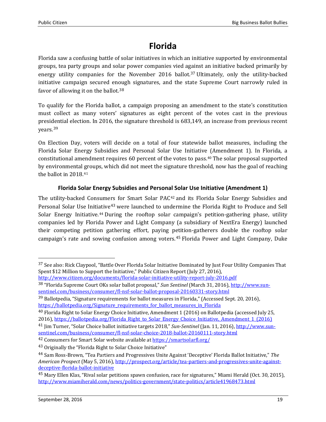# **Florida**

Florida saw a confusing battle of solar initiatives in which an initiative supported by environmental groups, tea party groups and solar power companies vied a[gai](#page-17-0)nst an initiative backed primarily by energy utility companies for the November 2016 ballot. <sup>37</sup> Ultimately, only the utility-backed initiative campaign secured en[ou](#page-18-0)gh signatures, and the state Supreme Court narrowly ruled in favor of allowing it on the ballot.<sup>38</sup>

To qualify for the Florida ballot, a campaign proposing an amendment to the state's constitution must collect as many voters' signatures as eight percent of the votes cast in the previous presi[den](#page-18-1)tial election. In 2016, the signature threshold is 683,149, an increase from previous recent years.<sup>39</sup>

On Election Day, voters will decide on a total of four statewide ballot measures, including the Florida Solar Energy Subsidies and Personal Solar Use Initiative (Amendment 1). In Florida, a constitutional amendment requires 60 percent of the votes to pass.[40](#page-18-2) The solar proposal supported by environmental groups, which did not meet the signature threshold, now has the goal of reaching the ballot in 2018.[41](#page-18-3)

#### **Florida Solar Energy Subsidies and Personal Solar Use Initiative (Amendment 1)**

The utility-backed Consume[rs](#page-18-5) for Smart Solar PAC[42](#page-18-4) and its Florida Solar Energy Subsidies and Personal Solar Use Initiative<sup>43</sup> were launched to undermine the Florida Right to Produce and Sell Solar Energy Initiative.[44](#page-18-6) During the rooftop solar campaign's petition-gathering phase, utility companies led by Florida Power and Light Company (a subsidiary of NextEra Energy) launched their competing petition gathering effort, paying p[eti](#page-18-7)tion-gatherers double the rooftop solar campaign's rate and sowing confusion among voters.<sup>45</sup> Florida Power and Light Company, Duke

<sup>&</sup>lt;sup>37</sup> See also: Rick Claypool, "Battle Over Florida Solar Initiative Dominated by Just Four Utility Companies That Spent \$12 Million to Support the Initiative," Public Citizen Report (July 27, 2016),

<http://www.citizen.org/documents/florida-solar-initiative-utility-report-july-2016.pdf>

<span id="page-18-0"></span><sup>38</sup> "Florida Supreme Court OKs solar ballot proposal," *Sun Sentinel* (March 31, 2016), [http://www.sun](http://www.sun-sentinel.com/business/consumer/fl-nsf-solar-ballot-proposal-20160331-story.html)[sentinel.com/business/consumer/fl-nsf-solar-ballot-proposal-20160331-story.html](http://www.sun-sentinel.com/business/consumer/fl-nsf-solar-ballot-proposal-20160331-story.html)

<span id="page-18-8"></span><span id="page-18-1"></span><sup>39</sup> Ballotpedia, "Signature requirements for ballot measures in Florida," (Accessed Sept. 20, 2016), [https://ballotpedia.org/Signature\\_requirements\\_for\\_ballot\\_measures\\_in\\_Florida](https://ballotpedia.org/Signature_requirements_for_ballot_measures_in_Florida)

<span id="page-18-2"></span><sup>40</sup> Florida Right to Solar Energy Choice Initiative, Amendment 1 (2016) on Ballotpedia (accessed July 25, 2016), [https://ballotpedia.org/Florida\\_Right\\_to\\_Solar\\_Energy\\_Choice\\_Initiative,\\_Amendment\\_1\\_\(2016\)](https://ballotpedia.org/Florida_Right_to_Solar_Energy_Choice_Initiative,_Amendment_1_(2016))

<span id="page-18-3"></span><sup>41</sup> Jim Turner, "Solar Choice ballot initiative targets 2018," *Sun-Sentinel* (Jan. 11, 2016)[, http://www.sun](http://www.sun-sentinel.com/business/consumer/fl-nsf-solar-choice-2018-ballot-20160111-story.html)[sentinel.com/business/consumer/fl-nsf-solar-choice-2018-ballot-20160111-story.html](http://www.sun-sentinel.com/business/consumer/fl-nsf-solar-choice-2018-ballot-20160111-story.html)

<span id="page-18-4"></span><sup>42</sup> Consumers for Smart Solar website available a[t https://smartsolarfl.org/](https://smartsolarfl.org/)

<span id="page-18-5"></span><sup>43</sup> Originally the "Florida Right to Solar Choice Initiative"

<span id="page-18-6"></span><sup>44</sup> Sam Ross-Brown, "Tea Partiers and Progressives Unite Against 'Deceptive' Florida Ballot Initiative," *The American Prospect* (May 5, 2016), [http://prospect.org/article/tea-partiers-and-progressives-unite-against](http://prospect.org/article/tea-partiers-and-progressives-unite-against-deceptive-florida-ballot-initiative)[deceptive-florida-ballot-initiative](http://prospect.org/article/tea-partiers-and-progressives-unite-against-deceptive-florida-ballot-initiative)

<span id="page-18-7"></span><sup>45</sup> Mary Ellen Klas, "Rival solar petitions spawn confusion, race for signatures," Miami Herald (Oct. 30, 2015), <http://www.miamiherald.com/news/politics-government/state-politics/article41968473.html>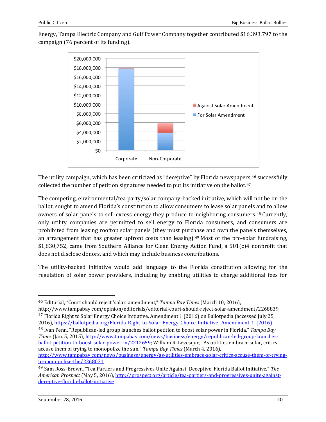Energy, Tampa Electric Company and Gulf Power Company together contributed \$16,393,797 to the campaign (76 percent of its funding).



The utility campaign, which has been criticized as "deceptive" by Florida newspape[rs,](#page-19-0)<sup>[46](#page-18-8)</sup> successfully collected the number of petition signatures needed to put its initiative on the ballot.47

The competing, environmental/tea party/solar company-backed initiative, which will not be on the ballot, sought to amend Florida's constitution to allow consumers to lease solar panels and to allow owners of solar panels to sell excess energy they produce to neighboring consumers.[48](#page-19-1) Currently, only utility companies are permitted to sell energy to Florida consumers, and consumers are prohibited from leasing rooftop solar panels (they must purchase and own the panels themselves, an arrangement that has greater upfront costs than leasing).[49](#page-19-2) Most of the pro-solar fundraising, \$1,830,752, came from Southern Alliance for Clean Energy Action Fund, a 501(c)4 nonprofit that does not disclose donors, and which may include business contributions.

The utility-backed initiative would add language to the Florida constitution allowing for the regulation of solar power providers, including by enabling utilities to charge additional fees for

46 Editorial, "Court should reject 'solar' amendment," *Tampa Bay Times* (March 10, 2016),

<span id="page-19-0"></span>http://www.tampabay.com/opinion/editorials/editorial-court-should-reject-solar-amendment/2268839 <sup>47</sup> Florida Right to Solar Energy Choice Initiative, Amendment 1 (2016) on Ballotpedia (accessed July 25, 2016), [https://ballotpedia.org/Florida\\_Right\\_to\\_Solar\\_Energy\\_Choice\\_Initiative,\\_Amendment\\_1\\_\(2016\)](https://ballotpedia.org/Florida_Right_to_Solar_Energy_Choice_Initiative,_Amendment_1_(2016)) <sup>48</sup> Ivan Penn, "Republican-led group launches ballot petition to boost solar power in Florida," *Tampa Bay* 

<span id="page-19-3"></span><span id="page-19-1"></span>*Times* (Jan. 5, 2015)[, http://www.tampabay.com/news/business/energy/republican-led-group-launches](http://www.tampabay.com/news/business/energy/republican-led-group-launches-ballot-petition-to-boost-solar-power-in/2212659)[ballot-petition-to-boost-solar-power-in/2212659;](http://www.tampabay.com/news/business/energy/republican-led-group-launches-ballot-petition-to-boost-solar-power-in/2212659) William R. Levesque, "As utilities embrace solar, critics accuse them of trying to monopolize the sun," *Tampa Bay Times* (March 4, 2016), [http://www.tampabay.com/news/business/energy/as-utilities-embrace-solar-critics-accuse-them-of-trying](http://www.tampabay.com/news/business/energy/as-utilities-embrace-solar-critics-accuse-them-of-trying-to-monopolize-the/2268031)[to-monopolize-the/2268031](http://www.tampabay.com/news/business/energy/as-utilities-embrace-solar-critics-accuse-them-of-trying-to-monopolize-the/2268031)

<span id="page-19-2"></span><sup>49</sup> Sam Ross-Brown, "Tea Partiers and Progressives Unite Against 'Deceptive' Florida Ballot Initiative," *The American Prospect* (May 5, 2016), [http://prospect.org/article/tea-partiers-and-progressives-unite-against](http://prospect.org/article/tea-partiers-and-progressives-unite-against-deceptive-florida-ballot-initiative)[deceptive-florida-ballot-initiative](http://prospect.org/article/tea-partiers-and-progressives-unite-against-deceptive-florida-ballot-initiative)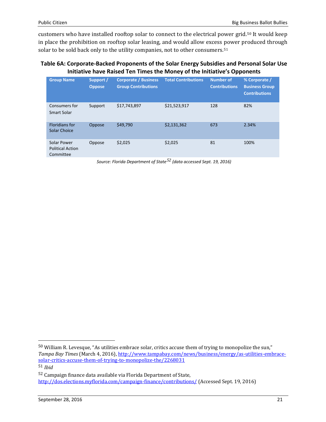customers who have installed rooftop solar to connect to the electrical power grid.[50](#page-19-3) It would keep in place the prohibition on rooftop solar leasing, and would allow excess [po](#page-20-0)wer produced through solar to be sold back only to the utility companies, not to other consumers.<sup>51</sup>

#### **Table 6A: Corporate-Backed Proponents of the Solar Energy Subsidies and Personal Solar Use Initiative have Raised Ten Times the Money of the Initiative's Opponents**

| <b>Group Name</b>                                   | Support /<br><b>Oppose</b> | <b>Corporate / Business</b><br><b>Group Contributions</b> | <b>Total Contributions</b> | <b>Number of</b><br><b>Contributions</b> | % Corporate /<br><b>Business Group</b><br><b>Contributions</b> |
|-----------------------------------------------------|----------------------------|-----------------------------------------------------------|----------------------------|------------------------------------------|----------------------------------------------------------------|
| Consumers for<br>Smart Solar                        | Support                    | \$17,743,897                                              | \$21,523,917               | 128                                      | 82%                                                            |
| <b>Floridians for</b><br>Solar Choice               | Oppose                     | \$49,790                                                  | \$2,131,362                | 673                                      | 2.34%                                                          |
| Solar Power<br><b>Political Action</b><br>Committee | Oppose                     | \$2,025                                                   | \$2,025                    | 81                                       | 100%                                                           |

*Source: Florida Department of State[52](#page-20-1) (data accessed Sept. 19, 2016)*

<span id="page-20-2"></span> <sup>50</sup> William R. Levesque, "As utilities embrace solar, critics accuse them of trying to monopolize the sun," *Tampa Bay Times* (March 4, 2016), [http://www.tampabay.com/news/business/energy/as-utilities-embrace](http://www.tampabay.com/news/business/energy/as-utilities-embrace-solar-critics-accuse-them-of-trying-to-monopolize-the/2268031)[solar-critics-accuse-them-of-trying-to-monopolize-the/2268031](http://www.tampabay.com/news/business/energy/as-utilities-embrace-solar-critics-accuse-them-of-trying-to-monopolize-the/2268031) 51 *Ibid*

<span id="page-20-1"></span><span id="page-20-0"></span><sup>52</sup> Campaign finance data available via Florida Department of State, <http://dos.elections.myflorida.com/campaign-finance/contributions/> (Accessed Sept. 19, 2016)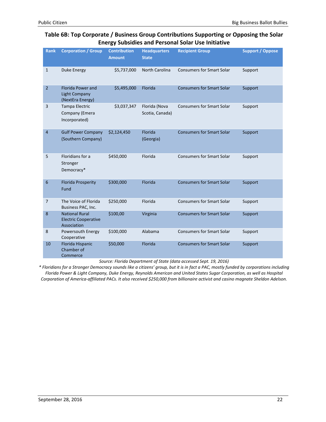#### **Table 6B: Top Corporate / Business Group Contributions Supporting or Opposing the Solar Energy Subsidies and Personal Solar Use Initiative**

| <b>Rank</b>    | <b>Corporation / Group</b>                                           | <b>Contribution</b><br><b>Amount</b> | <b>Headquarters</b><br><b>State</b> | <b>Recipient Group</b>           | <b>Support / Oppose</b> |
|----------------|----------------------------------------------------------------------|--------------------------------------|-------------------------------------|----------------------------------|-------------------------|
| $\mathbf{1}$   | Duke Energy                                                          | \$5,737,000                          | North Carolina                      | <b>Consumers for Smart Solar</b> | Support                 |
| $\overline{2}$ | <b>Florida Power and</b><br><b>Light Company</b><br>(NextEra Energy) | \$5,495,000                          | Florida                             | <b>Consumers for Smart Solar</b> | Support                 |
| 3              | Tampa Electric<br>Company (Emera<br>Incorporated)                    | \$3,037,347                          | Florida (Nova<br>Scotia, Canada)    | <b>Consumers for Smart Solar</b> | Support                 |
| $\overline{4}$ | <b>Gulf Power Company</b><br>(Southern Company)                      | \$2,124,450                          | Florida<br>(Georgia)                | <b>Consumers for Smart Solar</b> | Support                 |
| 5              | Floridians for a<br>Stronger<br>Democracy*                           | \$450,000                            | Florida                             | <b>Consumers for Smart Solar</b> | Support                 |
| 6              | <b>Florida Prosperity</b><br>Fund                                    | \$300,000                            | Florida                             | <b>Consumers for Smart Solar</b> | Support                 |
| $\overline{7}$ | The Voice of Florida<br>Business PAC, Inc.                           | \$250,000                            | Florida                             | <b>Consumers for Smart Solar</b> | Support                 |
| 8              | <b>National Rural</b><br><b>Electric Cooperative</b><br>Association  | \$100,00                             | Virginia                            | <b>Consumers for Smart Solar</b> | Support                 |
| 8              | Powersouth Energy<br>Cooperative                                     | \$100,000                            | Alabama                             | <b>Consumers for Smart Solar</b> | Support                 |
| 10             | Florida Hispanic<br>Chamber of<br>Commerce                           | \$50,000                             | Florida                             | <b>Consumers for Smart Solar</b> | Support                 |

*Source: Florida Department of State (data accessed Sept. 19, 2016)*

*\* Floridians for a Stronger Democracy sounds like a citizens' group, but it is in fact a PAC, mostly funded by corporations including Florida Power & Light Company, Duke Energy, Reynolds American and United States Sugar Corporation, as well as Hospital Corporation of America-affiliated PACs. It also received \$250,000 from billionaire activist and casino magnate Sheldon Adelson.*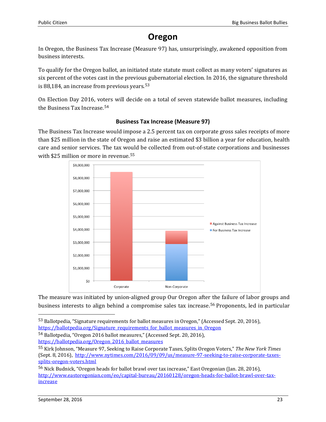## **Oregon**

In Oregon, the Business Tax Increase (Measure 97) has, unsurprisingly, awakened opposition from business interests.

To qualify for the Oregon ballot, an initiated state statute must collect as many voters' signatures as six percent of the votes cast in the previou[s g](#page-20-2)ubernatorial election. In 2016, the signature threshold is 88,184, an increase from previous years.  $53$ 

On Election Day 2016, vo[ter](#page-22-0)s will decide on a total of seven statewide ballot measures, including the Business Tax Increase. 54

#### **Business Tax Increase (Measure 97)**

The Business Tax Increase would impose a 2.5 percent tax on corporate gross sales receipts of more than \$25 million in the state of Oregon and raise an estimated \$3 billion a year for education, health care and senior services. The tax w[oul](#page-22-1)d be collected from out-of-state corporations and businesses with \$25 million or more in revenue.<sup>55</sup>



The measure was initiated by union-aligned group Our Oregon afte[r th](#page-22-2)e failure of labor groups and business interests to align behind a compromise sales tax increase. <sup>56</sup> Proponents, led in particular

 <sup>53</sup> Ballotpedia, "Signature requirements for ballot measures in Oregon," (Accessed Sept. 20, 2016), [https://ballotpedia.org/Signature\\_requirements\\_for\\_ballot\\_measures\\_in\\_Oregon](https://ballotpedia.org/Signature_requirements_for_ballot_measures_in_Oregon)

<span id="page-22-0"></span><sup>54</sup> Ballotpedia, "Oregon 2016 ballot measures," (Accessed Sept. 20, 2016), [https://ballotpedia.org/Oregon\\_2016\\_ballot\\_measures](https://ballotpedia.org/Oregon_2016_ballot_measures)

<span id="page-22-1"></span><sup>55</sup> Kirk Johnson, "Measure 97, Seeking to Raise Corporate Taxes, Splits Oregon Voters," *The New York Times* (Sept. 8, 2016), [http://www.nytimes.com/2016/09/09/us/measure-97-seeking-to-raise-corporate-taxes](http://www.nytimes.com/2016/09/09/us/measure-97-seeking-to-raise-corporate-taxes-splits-oregon-voters.html)[splits-oregon-voters.html](http://www.nytimes.com/2016/09/09/us/measure-97-seeking-to-raise-corporate-taxes-splits-oregon-voters.html)

<span id="page-22-3"></span><span id="page-22-2"></span><sup>56</sup> Nick Budnick, "Oregon heads for ballot brawl over tax increase," East Oregonian (Jan. 28, 2016), [http://www.eastoregonian.com/eo/capital-bureau/20160128/oregon-heads-for-ballot-brawl-over-tax](http://www.eastoregonian.com/eo/capital-bureau/20160128/oregon-heads-for-ballot-brawl-over-tax-increase)[increase](http://www.eastoregonian.com/eo/capital-bureau/20160128/oregon-heads-for-ballot-brawl-over-tax-increase)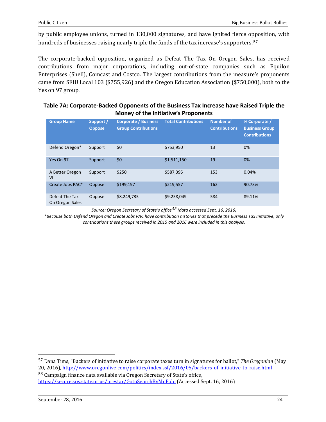by public employee unions, turned in 130,000 signatures, and have ignited fierce o[ppo](#page-22-3)sition, with hundreds of businesses raising nearly triple the funds of the tax increase's supporters. 57

The corporate-backed opposition, organized as Defeat The Tax On Oregon Sales, has received contributions from major corporations, including out-of-state companies such as Equilon Enterprises (Shell), Comcast and Costco. The largest contributions from the measure's proponents came from SEIU Local 103 (\$755,926) and the Oregon Education Association (\$750,000), both to the Yes on 97 group.

| Table 7A: Corporate-Backed Opponents of the Business Tax Increase have Raised Triple the |
|------------------------------------------------------------------------------------------|
| <b>Money of the Initiative's Proponents</b>                                              |

| <b>Group Name</b>                 | Support /<br><b>Oppose</b> | <b>Corporate / Business</b><br><b>Group Contributions</b> | <b>Total Contributions</b> | <b>Number of</b><br><b>Contributions</b> | % Corporate /<br><b>Business Group</b><br><b>Contributions</b> |
|-----------------------------------|----------------------------|-----------------------------------------------------------|----------------------------|------------------------------------------|----------------------------------------------------------------|
| Defend Oregon*                    | Support                    | \$0                                                       | \$753,950                  | 13                                       | 0%                                                             |
| Yes On 97                         | Support                    | \$0                                                       | \$1,511,150                | 19                                       | 0%                                                             |
| A Better Oregon<br>VI             | Support                    | \$250                                                     | \$587,395                  | 153                                      | 0.04%                                                          |
| Create Jobs PAC*                  | Oppose                     | \$199.197                                                 | \$219,557                  | 162                                      | 90.73%                                                         |
| Defeat The Tax<br>On Oregon Sales | Oppose                     | \$8,249,735                                               | \$9,258,049                | 584                                      | 89.11%                                                         |

*Source: Oregon Secretary of State's office[58](#page-23-0) (data accessed Sept. 16, 2016)*

<span id="page-23-1"></span>*\*Because both Defend Oregon and Create Jobs PAC have contribution histories that precede the Business Tax Initiative, only contributions these groups received in 2015 and 2016 were included in this analysis.*

 <sup>57</sup> Dana Tims, "Backers of initiative to raise corporate taxes turn in signatures for ballot," *The Oregonian* (May 20, 2016)[, http://www.oregonlive.com/politics/index.ssf/2016/05/backers\\_of\\_initiative\\_to\\_raise.html](http://www.oregonlive.com/politics/index.ssf/2016/05/backers_of_initiative_to_raise.html) <sup>58</sup> Campaign finance data available via Oregon Secretary of State's office,

<span id="page-23-0"></span><https://secure.sos.state.or.us/orestar/GotoSearchByMnP.do> (Accessed Sept. 16, 2016)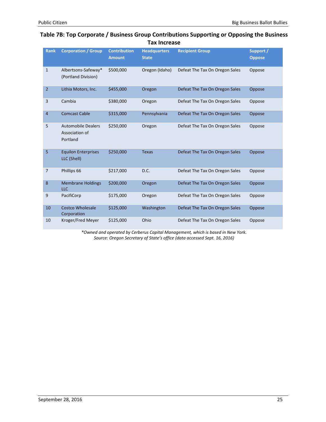| <b>Rank</b>    | <b>Corporation / Group</b>                              | <b>Contribution</b><br><b>Amount</b> | <b>Headquarters</b><br><b>State</b> | <b>Recipient Group</b>         | Support /<br><b>Oppose</b> |
|----------------|---------------------------------------------------------|--------------------------------------|-------------------------------------|--------------------------------|----------------------------|
| $\mathbf{1}$   | Albertsons-Safeway*<br>(Portland Division)              | \$500,000                            | Oregon (Idaho)                      | Defeat The Tax On Oregon Sales | Oppose                     |
| $\overline{2}$ | Lithia Motors, Inc.                                     | \$455,000                            | Oregon                              | Defeat The Tax On Oregon Sales | Oppose                     |
| 3              | Cambia                                                  | \$380,000                            | Oregon                              | Defeat The Tax On Oregon Sales | Oppose                     |
| $\overline{4}$ | <b>Comcast Cable</b>                                    | \$315,000                            | Pennsylvania                        | Defeat The Tax On Oregon Sales | Oppose                     |
| 5              | <b>Automobile Dealers</b><br>Association of<br>Portland | \$250,000                            | Oregon                              | Defeat The Tax On Oregon Sales | Oppose                     |
| 5              | <b>Equilon Enterprises</b><br>LLC (Shell)               | \$250,000                            | <b>Texas</b>                        | Defeat The Tax On Oregon Sales | Oppose                     |
| $\overline{7}$ | Phillips 66                                             | \$217,000                            | D.C.                                | Defeat The Tax On Oregon Sales | Oppose                     |
| 8              | <b>Membrane Holdings</b><br><b>LLC</b>                  | \$200,000                            | Oregon                              | Defeat The Tax On Oregon Sales | Oppose                     |
| 9              | PacifiCorp                                              | \$175,000                            | Oregon                              | Defeat The Tax On Oregon Sales | Oppose                     |
| 10             | <b>Costco Wholesale</b><br>Corporation                  | \$125,000                            | Washington                          | Defeat The Tax On Oregon Sales | Oppose                     |
| 10             | Kroger/Fred Meyer                                       | \$125,000                            | Ohio                                | Defeat The Tax On Oregon Sales | Oppose                     |

#### **Table 7B: Top Corporate / Business Group Contributions Supporting or Opposing the Business Tax Increase**

*\*Owned and operated by Cerberus Capital Management, which is based in New York. Source: Oregon Secretary of State's office (data accessed Sept. 16, 2016)*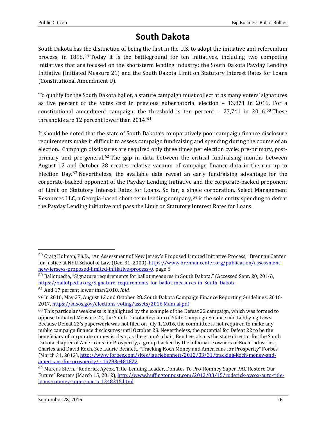## **South Dakota**

South Dakota has [the](#page-23-1) distinction of being the first in the U.S. to adopt the initiative and referendum process, in 1898.<sup>59</sup> Today it is the battleground for ten initiatives, including two competing initiatives that are focused on the short-term lending industry: the South Dakota Payday Lending Initiative (Initiated Measure 21) and the South Dakota Limit on Statutory Interest Rates for Loans (Constitutional Amendment U).

To qualify for the South Dakota ballot, a statute campaign must collect at as many voters' signatures as five percent of the votes cast in previous gubernatorial election – 13,871 in 201[6.](#page-25-0) For a constitutional amendment campaign, the [th](#page-25-1)reshold is ten percent – 27,741 in 2016. <sup>60</sup> These thresholds are 12 percent lower than 2014. 61

It should be noted that the state of South Dakota's comparatively poor campaign finance disclosure requirements make it difficult to assess campaign fundraising and spending during the course of an election. Campaign disclo[su](#page-25-2)res are required only three times per election cycle: pre-primary, postprimary and pre-general.<sup>62</sup> The gap in data between the critical fundraising months between August 12 a[nd](#page-25-3) October 28 creates relative vacuum of campaign finance data in the run up to Election Day.<sup>63</sup> Nevertheless, the available data reveal an early fundraising advantage for the corporate-backed opponent of the Payday Lending Initiative and the corporate-backed proponent of Limit on Statutory Interest Rates for Loans. So far, a si[ngl](#page-25-4)e corporation, Select Management Resources LLC, a Georgia-based short-term lending company,  $64$  is the sole entity spending to defeat the Payday Lending initiative and pass the Limit on Statutory Interest Rates for Loans.

 <sup>59</sup> Craig Holman, Ph.D., "An Assessment of New Jersey's Proposed Limited Initiative Process," Brennan Center for Justice at NYU School of Law (Dec. 31, 2000)[, https://www.brennancenter.org/publication/assessment](https://www.brennancenter.org/publication/assessment-new-jerseys-proposed-limited-initiative-process-0)[new-jerseys-proposed-limited-initiative-process-0,](https://www.brennancenter.org/publication/assessment-new-jerseys-proposed-limited-initiative-process-0) page 6

<span id="page-25-0"></span><sup>60</sup> Ballotpedia, "Signature requirements for ballot measures in South Dakota," (Accessed Sept. 20, 2016), [https://ballotpedia.org/Signature\\_requirements\\_for\\_ballot\\_measures\\_in\\_South\\_Dakota](https://ballotpedia.org/Signature_requirements_for_ballot_measures_in_South_Dakota)

<span id="page-25-1"></span><sup>61</sup> And 17 percent lower than 2010. *Ibid.* 

<span id="page-25-2"></span><sup>62</sup> In 2016, May 27, August 12 and October 28. South Dakota Campaign Finance Reporting Guidelines, 2016- 2017[, https://sdsos.gov/elections-voting/assets/2016 Manual.pdf](https://sdsos.gov/elections-voting/assets/2016%20Manual.pdf)

<span id="page-25-5"></span><span id="page-25-3"></span> $63$  This particular weakness is highlighted by the example of the Defeat 22 campaign, which was formed to oppose Initiated Measure 22, the South Dakota Revision of State Campaign Finance and Lobbying Laws. Because Defeat 22's paperwork was not filed on July 1, 2016, the committee is not required to make any public campaign finance disclosures until October 28. Nevertheless, the potential for Defeat 22 to be the beneficiary of corporate money is clear, as the group's chair, Ben Lee, also is the state director for the South Dakota chapter of Americans for Prosperity, a group backed by the billionaire owners of Koch Industries, Charles and David Koch. See Laurie Bennett, "Tracking Koch Money and Americans for Prosperity" Forbes (March 31, 2012)[, http://www.forbes.com/sites/lauriebennett/2012/03/31/tracking-koch-money-and](http://www.forbes.com/sites/lauriebennett/2012/03/31/tracking-koch-money-and-americans-for-prosperity/#1b293e481822)[americans-for-prosperity/ -](http://www.forbes.com/sites/lauriebennett/2012/03/31/tracking-koch-money-and-americans-for-prosperity/#1b293e481822) 1b293e481822

<span id="page-25-4"></span><sup>64</sup> Marcus Stern, "Roderick Aycox, Title-Lending Leader, Donates To Pro-Romney Super PAC Restore Our Future" Reuters (March 15, 2012), [http://www.huffingtonpost.com/2012/03/15/roderick-aycox-auto-title](http://www.huffingtonpost.com/2012/03/15/roderick-aycox-auto-title-loans-romney-super-pac_n_1348215.html)[loans-romney-super-pac\\_n\\_1348215.html](http://www.huffingtonpost.com/2012/03/15/roderick-aycox-auto-title-loans-romney-super-pac_n_1348215.html)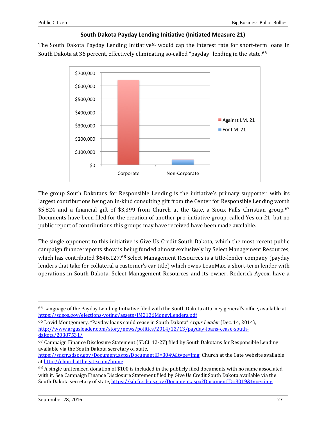#### **South Dakota Payday Lend[ing](#page-25-5) Initiative (Initiated Measure 21)**

The South Dakota Payday Lending Initiative<sup>65</sup> would cap the interest rate for short-ter[m](#page-26-0) loans in South Dakota at 36 percent, effectively eliminating so-called "payday" lending in the state.<sup>66</sup>



The group South Dakotans for Responsible Lending is the initiative's primary supporter, with its largest contributions being an in-kind consulting gift from the Center for Responsible Lending wor[th](#page-26-1) \$5,824 and a financial gift of \$3,399 from Church at the Gate, a Sioux Falls Christian group.<sup>67</sup> Documents have been filed for the creation of another pro-initiative group, called Yes on 21, but no public report of contributions this groups may have received have been made available.

The single opponent to this initiative is Give Us Credit South Dakota, which the most recent public campaign finance reports show i[s b](#page-26-2)eing funded almost exclusively by Select Management Resources, which has contributed \$646,127. <sup>68</sup> Select Management Resources is a title-lender company (payday lenders that take for collateral a customer's car title) which owns LoanMax, a short-term lender with operations in South Dakota. Select Management Resources and its owner, Roderick Aycox, have a

<span id="page-26-3"></span> <sup>65</sup> Language of the Payday Lending Initiative filed with the South Dakota attorney general's office, available at <https://sdsos.gov/elections-voting/assets/IM2136MoneyLenders.pdf>

<span id="page-26-0"></span><sup>66</sup> David Montgomery, "Payday loans could cease in South Dakota" *Argus Leader* (Dec. 14, 2014), [http://www.argusleader.com/story/news/politics/2014/12/13/payday-loans-cease-south](http://www.argusleader.com/story/news/politics/2014/12/13/payday-loans-cease-south-dakota/20387531/)[dakota/20387531/](http://www.argusleader.com/story/news/politics/2014/12/13/payday-loans-cease-south-dakota/20387531/)

<span id="page-26-1"></span><sup>67</sup> Campaign Finance Disclosure Statement (SDCL 12-27) filed by South Dakotans for Responsible Lending available via the South Dakota secretary of state,

[https://sdcfr.sdsos.gov/Document.aspx?DocumentID=3049&type=img;](https://sdcfr.sdsos.gov/Document.aspx?DocumentID=3049&type=img) Church at the Gate website available a[t http://churchatthegate.com/home](http://churchatthegate.com/home)

<span id="page-26-2"></span> $68$  A single unitemized donation of \$100 is included in the publicly filed documents with no name associated with it. See Campaign Finance Disclosure Statement filed by Give Us Credit South Dakota available via the South Dakota secretary of state, <https://sdcfr.sdsos.gov/Document.aspx?DocumentID=3019&type=img>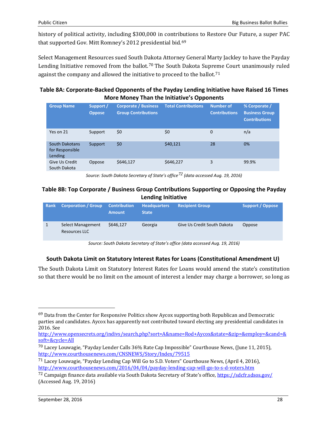history of political activity, including \$300,000 in contri[but](#page-26-3)ions to Restore Our Future, a super PAC that supported Gov. Mitt Romney's 2012 presidential bid.<sup>69</sup>

Select Management Resources sued South D[ak](#page-27-0)ota Attorney General Marty Jackley to have the Payday Lending Initiative r[em](#page-27-1)oved from the ballot.<sup>70</sup> The South Dakota Supreme Court unanimously ruled against the company and allowed the initiative to proceed to the ballot.<sup>71</sup>

#### **Table 8A: Corporate-Backed Opponents of the Payday Lending Initiative have Raised 16 Times More Money Than the Initiative's Opponents**

| <b>Group Name</b>                            | Support /<br><b>Oppose</b> | <b>Corporate / Business</b><br><b>Group Contributions</b> | <b>Total Contributions</b> | <b>Number of</b><br><b>Contributions</b> | % Corporate /<br><b>Business Group</b><br><b>Contributions</b> |
|----------------------------------------------|----------------------------|-----------------------------------------------------------|----------------------------|------------------------------------------|----------------------------------------------------------------|
| Yes on 21                                    | Support                    | \$0                                                       | \$0                        | $\Omega$                                 | n/a                                                            |
| South Dakotans<br>for Responsible<br>Lending | Support                    | \$0                                                       | \$40,121                   | 28                                       | 0%                                                             |
| Give Us Credit<br>South Dakota               | Oppose                     | \$646,127                                                 | \$646,227                  | 3                                        | 99.9%                                                          |

*Source: South Dakota Secretary of State's office[72](#page-27-2) (data accessed Aug. 19, 2016)*

#### **Table 8B: Top Corporate / Business Group Contributions Supporting or Opposing the Payday Lending Initiative**

| <b>Rank</b> | <b>Corporation / Group</b>         | <b>Contribution</b><br><b>Amount</b> | <b>Headquarters</b><br><b>State</b> | <b>Recipient Group</b>      | Support / Oppose |
|-------------|------------------------------------|--------------------------------------|-------------------------------------|-----------------------------|------------------|
|             | Select Management<br>Resources LLC | \$646.127                            | Georgia                             | Give Us Credit South Dakota | Oppose           |

*Source: South Dakota Secretary of State's office (data accessed Aug. 19, 2016)*

#### **South Dakota Limit on Statutory Interest Rates for Loans (Constitutional Amendment U)**

The South Dakota Limit on Statutory Interest Rates for Loans would amend the state's constitution so that there would be no limit on the amount of interest a lender may charge a borrower, so long as

<span id="page-27-3"></span> $69$  Data from the Center for Responsive Politics show Aycox supporting both Republican and Democratic parties and candidates. Aycox has apparently not contributed toward electing any presidential candidates in 2016. See

[http://www.opensecrets.org/indivs/search.php?sort=A&name=Rod+Aycox&state=&zip=&employ=&cand=&](http://www.opensecrets.org/indivs/search.php?sort=A&name=Rod%2BAycox&state=&zip=&employ=&cand=&soft=&cycle=All) [soft=&cycle=All](http://www.opensecrets.org/indivs/search.php?sort=A&name=Rod%2BAycox&state=&zip=&employ=&cand=&soft=&cycle=All)

<span id="page-27-0"></span><sup>70</sup> Lacey Louwagie, "Payday Lender Calls 36% Rate Cap Impossible" Courthouse News, (June 11, 2015), <http://www.courthousenews.com/CNSNEWS/Story/Index/79515>

<span id="page-27-1"></span><sup>71</sup> Lacey Louwagie, "Payday Lending Cap Will Go to S.D. Voters" Courthouse News, (April 4, 2016), <http://www.courthousenews.com/2016/04/04/payday-lending-cap-will-go-to-s-d-voters.htm>

<span id="page-27-2"></span><sup>72</sup> Campaign finance data available via South Dakota Secretary of State's office,<https://sdcfr.sdsos.gov/> (Accessed Aug. 19, 2016)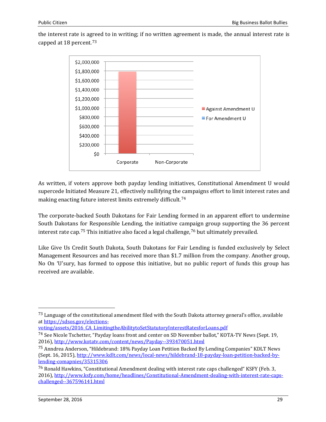the interest rate is a[gre](#page-27-3)ed to in writing; if no written agreement is made, the annual interest rate is capped at 18 percent. 73



As written, if voters approve both payday lending initiatives, Constitutional Amendment U would supercede Initiated Measure 21, effectively nullifying the [ca](#page-28-0)mpaigns effort to limit interest rates and making enacting future interest limits extremely difficult.<sup>74</sup>

The corporate-backed South Dakotans for Fair Lending formed in an apparent effort to undermine South Dakotans [for](#page-28-1) Responsible Lending, the initiative cam[pa](#page-28-2)ign group supporting the 36 percent interest rate cap.<sup>75</sup> This initiative also faced a legal challenge,<sup>76</sup> but ultimately prevailed.

Like Give Us Credit South Dakota, South Dakotans for Fair Lending is funded exclusively by Select Management Resources and has received more than \$1.7 million from the company. Another group, No On 'U'sury, has formed to oppose this initiative, but no public report of funds this group has received are available.

[voting/assets/2016\\_CA\\_LimitingtheAbilitytoSetStatutoryInterestRatesforLoans.pdf](https://sdsos.gov/elections-voting/assets/2016_CA_LimitingtheAbilitytoSetStatutoryInterestRatesforLoans.pdf)

<sup>&</sup>lt;sup>73</sup> Language of the constitutional amendment filed with the South Dakota attorney general's office, available a[t https://sdsos.gov/elections-](https://sdsos.gov/elections-voting/assets/2016_CA_LimitingtheAbilitytoSetStatutoryInterestRatesforLoans.pdf)

<span id="page-28-0"></span><sup>74</sup> See Nicole Tschetter, "Payday loans front and center on SD November ballot," KOTA-TV News (Sept. 19, 2016),<http://www.kotatv.com/content/news/Payday--393470051.html>

<span id="page-28-1"></span><sup>75</sup> Anndrea Anderson, "Hildebrand: 18% Payday Loan Petition Backed By Lending Companies" KDLT News (Sept. 16, 2015)[, http://www.kdlt.com/news/local-news/hildebrand-18-payday-loan-petition-backed-by](http://www.kdlt.com/news/local-news/hildebrand-18-payday-loan-petition-backed-by-lending-comapnies/35315306)[lending-comapnies/35315306](http://www.kdlt.com/news/local-news/hildebrand-18-payday-loan-petition-backed-by-lending-comapnies/35315306)

<span id="page-28-3"></span><span id="page-28-2"></span><sup>76</sup> Ronald Hawkins, "Constitutional Amendment dealing with interest rate caps challenged" KSFY (Feb. 3, 2016), [http://www.ksfy.com/home/headlines/Constitutional-Amendment-dealing-with-interest-rate-caps](http://www.ksfy.com/home/headlines/Constitutional-Amendment-dealing-with-interest-rate-caps-challenged--367596141.html)[challenged--367596141.html](http://www.ksfy.com/home/headlines/Constitutional-Amendment-dealing-with-interest-rate-caps-challenged--367596141.html)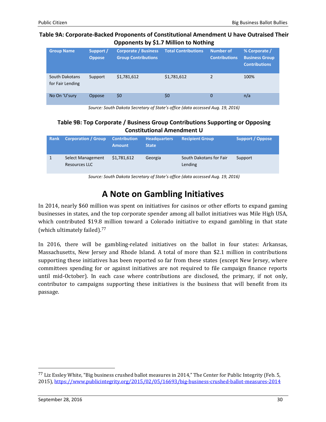#### **Table 9A: Corporate-Backed Proponents of Constitutional Amendment U have Outraised Their Opponents by \$1.7 Million to Nothing**

| <b>Group Name</b>                  | Support /<br><b>Oppose</b> | <b>Corporate / Business</b><br><b>Group Contributions</b> | <b>Total Contributions</b> | <b>Number of</b><br><b>Contributions</b> | % Corporate /<br><b>Business Group</b><br><b>Contributions</b> |
|------------------------------------|----------------------------|-----------------------------------------------------------|----------------------------|------------------------------------------|----------------------------------------------------------------|
| South Dakotans<br>for Fair Lending | Support                    | \$1,781,612                                               | \$1,781,612                | 2                                        | 100%                                                           |
| No On 'U'sury                      | Oppose                     | \$0                                                       | \$0                        | 0                                        | n/a                                                            |

*Source: South Dakota Secretary of State's office (data accessed Aug. 19, 2016)*

#### **Table 9B: Top Corporate / Business Group Contributions Supporting or Opposing Constitutional Amendment U**

| Rank | <b>Corporation / Group</b>                | <b>Contribution</b><br><b>Amount</b> | <b>Headquarters</b><br><b>State</b> | <b>Recipient Group</b>             | <b>Support / Oppose</b> |
|------|-------------------------------------------|--------------------------------------|-------------------------------------|------------------------------------|-------------------------|
|      | Select Management<br><b>Resources LLC</b> | \$1,781,612                          | Georgia                             | South Dakotans for Fair<br>Lending | Support                 |

*Source: South Dakota Secretary of State's office (data accessed Aug. 19, 2016)*

## **A Note on Gambling Initiatives**

In 2014, nearly \$60 million was spent on initiatives for casinos or other efforts to expand gaming businesses in states, and the top corporate spender among all ballot initiatives was Mile High USA, which contributed \$19.[8 m](#page-28-3)illion toward a Colorado initiative to expand gambling in that state (which ultimately failed).<sup>77</sup>

In 2016, there will be gambling-related initiatives on the ballot in four states: Arkansas, Massachusetts, New Jersey and Rhode Island. A total of more than \$2.1 million in contributions supporting these initiatives has been reported so far from these states (except New Jersey, where committees spending for or against initiatives are not required to file campaign finance reports until mid-October). In each case where contributions are disclosed, the primary, if not only, contributor to campaigns supporting these initiatives is the business that will benefit from its passage.

<span id="page-29-0"></span> <sup>77</sup> Liz Essley White, "Big business crushed ballot measures in 2014," The Center for Public Integrity (Feb. 5, 2015),<https://www.publicintegrity.org/2015/02/05/16693/big-business-crushed-ballot-measures-2014>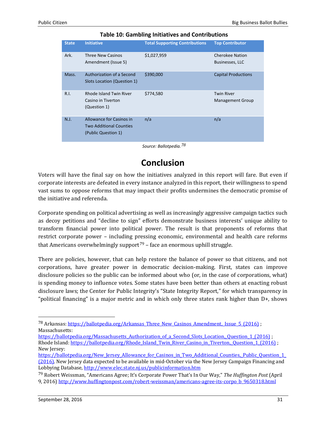| <b>State</b> | <b>Initiative</b>                                                                 | <b>Total Supporting Contributions</b> | <b>Top Contributor</b>                       |
|--------------|-----------------------------------------------------------------------------------|---------------------------------------|----------------------------------------------|
| Ark.         | Three New Casinos<br>Amendment (Issue 5)                                          | \$1,027,959                           | <b>Cherokee Nation</b><br>Businesses, LLC    |
| Mass.        | Authorization of a Second<br>Slots Location (Question 1)                          | \$390,000                             | <b>Capital Productions</b>                   |
| R.1.         | Rhode Island Twin River<br>Casino in Tiverton<br>(Question 1)                     | \$774,580                             | <b>Twin River</b><br><b>Management Group</b> |
| N.J.         | Allowance for Casinos in<br><b>Two Additional Counties</b><br>(Public Question 1) | n/a                                   | n/a                                          |

#### **Table 10: Gambling Initiatives and Contributions**

*Source: Ballotpedia.[78](#page-29-0)*

### **Conclusion**

Voters will have the final say on how the initiatives analyzed in this report will fare. But even if corporate interests are defeated in every instance analyzed in this report, their willingness to spend vast sums to oppose reforms that may impact their profits undermines the democratic promise of the initiative and referenda.

Corporate spending on political advertising as well as increasingly aggressive campaign tactics such as decoy petitions and "decline to sign" efforts demonstrate business interests' unique ability to transform financial power into political power. The result is that proponents of reforms that restrict corporate power – including p[res](#page-30-0)sing economic, environmental and health care reforms that Americans overwhelmingly support<sup>79</sup> – face an enormous uphill struggle.

There are policies, however, that can help restore the balance of power so that citizens, and not corporations, have greater power in democratic decision-making. First, states can improve disclosure policies so the public can be informed about who (or, in the case of corporations, what) is spending money to influence votes. Some states have been better than others at enacting robust disclosure laws; the Center for Public Integrity's "State Integrity Report," for which transparency in "political financing" is a major metric and in which only three states rank higher than D+, shows

<span id="page-30-1"></span><sup>&</sup>lt;sup>78</sup> Arkansas: https://ballotpedia.org/Arkansas\_Three\_New\_Casinos\_Amendment, Issue\_5 (2016) ; Massachusetts:

[https://ballotpedia.org/Massachusetts\\_Authorization\\_of\\_a\\_Second\\_Slots\\_Location,\\_Question\\_1\\_\(2016\)](https://ballotpedia.org/Massachusetts_Authorization_of_a_Second_Slots_Location,_Question_1_(2016)) ; Rhode Island: [https://ballotpedia.org/Rhode\\_Island\\_Twin\\_River\\_Casino\\_in\\_Tiverton,\\_Question\\_1\\_\(2016\)](https://ballotpedia.org/Rhode_Island_Twin_River_Casino_in_Tiverton,_Question_1_(2016)) ; New Jersey:

https://ballotpedia.org/New Jersey Allowance for Casinos in Two Additional Counties, Public Question 1 [\(2016\).](https://ballotpedia.org/New_Jersey_Allowance_for_Casinos_in_Two_Additional_Counties,_Public_Question_1_(2016)) New Jersey data expected to be available in mid-October via the New Jersey Campaign Financing and Lobbying Database[, http://www.elec.state.nj.us/publicinformation.htm](http://www.elec.state.nj.us/publicinformation.htm)

<span id="page-30-0"></span><sup>79</sup> Robert Weissman, "Americans Agree; It's Corporate Power That's In Our Way," *The Huffington Post* (April 9, 2016) [http://www.huffingtonpost.com/robert-weissman/americans-agree-its-corpo\\_b\\_9650318.html](http://www.huffingtonpost.com/robert-weissman/americans-agree-its-corpo_b_9650318.html)